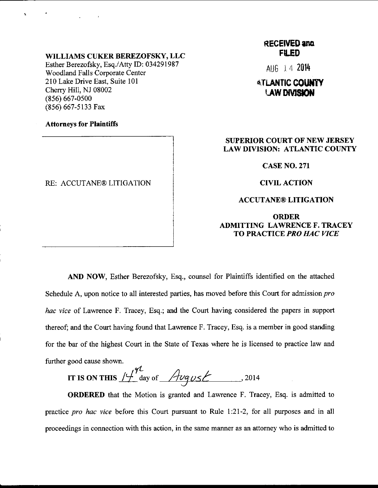#### WILLIAMS CUKER BEREZOFSKY, LLC

Esther Berezofsky, Esq./Atty ID: 034291987 Woodland Falls Corporate Center 210 Lake Drive East, Suite 101 Cherry Hill, NJ 08002 (856) 667-0500 (856) 667-5133 Fax

### Attorneys for Plaintiffs

### RE: ACCUTANE® LITIGATION

# **RECEIVED and FILED**

AUfi I4 <sup>2014</sup>

# **ATLANTIC COUNTY LAW DIVISION**

## SUPERIOR COURT OF NEW JERSEY LAW DIVISION: ATLANTIC COUNTY

#### CASE NO.271

CIVIL ACTION

#### ACCUTANE@ LITIGATION

## ORDER ADMITTING LAWRENCE F. TRACEY TO PRACTICE PRO HAC VICE

AND NOW, Esther Berezofsky, Esq., counsel for Plaintiffs identified on the attached Schedule A, upon notice to all interested parties, has moved before this Court for admission *pro* hac vice of Lawrence F. Tracey, Esq.; and the Court having considered the papers in support thereof; and the Court having found that Lawrence F. Tracey, Esq. is a member in good standing for the bar of the highest Court in the State of Texas where he is licensed to practice law and further good cause shown.

,fLA/ tr Is oN rn:s /1' aay or /4uqzst .zorc

ORDERED that the Motion is granted and Lawrence F. Tracey, Esq. is admitted to practice pro hac vice before this Court pursuant to Rule 1:21-2, for all purposes and in all proceedings in connection with this action, in the same manner as an attorney who is admitted to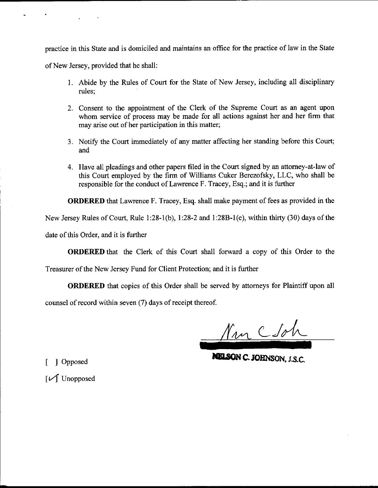pmctice in this State and is domiciled and maintains an offrce for the practice of law in the State

of New Jersey, provided that he shall:

- 1. Abide by the Rules of Court for the State of New Jersey, including all disciplinary rules;
- 2. Consent to the appointrnent of the Clerk of the Supreme Court as an agent upon whom service of process may be made for all actions against her and her firm that may arise out of her participation in this matter;
- 3. Notify the Court immediately of any matter affecting her standing before this Court; and
- 4. Have all pleadings and other papers filed in the Court signed by an attorney-at-law of this Court employed by the firm of Williams Cuker Berezofsky, LLC, who shall be responsible for the conduct of Lawrence F. Tracey, Esq.; and it is further

ORDERED that Lawrence F. Tracey, Esq. shall make payment of fees as provided in the

New Jersey Rules of Court, Rule 1:28-1(b), 1:28-2 and 1:28B-l(e), within thirty (30) days of the

date of this Order, and it is further

ORDERED that the Clerk of this Court shall forward a copy of this Order to the

Treasurer of the New Jersey Fund for Client Protection; and it is further

ORDERED that copies of this Order shall be served by attomeys for Plaintiff upon all

counsel of record within seven (7) days of receipt thereof.

Mm C Soh

NELSON C. JOHNSON, J.S.C.

[ ] Opposed

<sup>I</sup>zf Unopposed